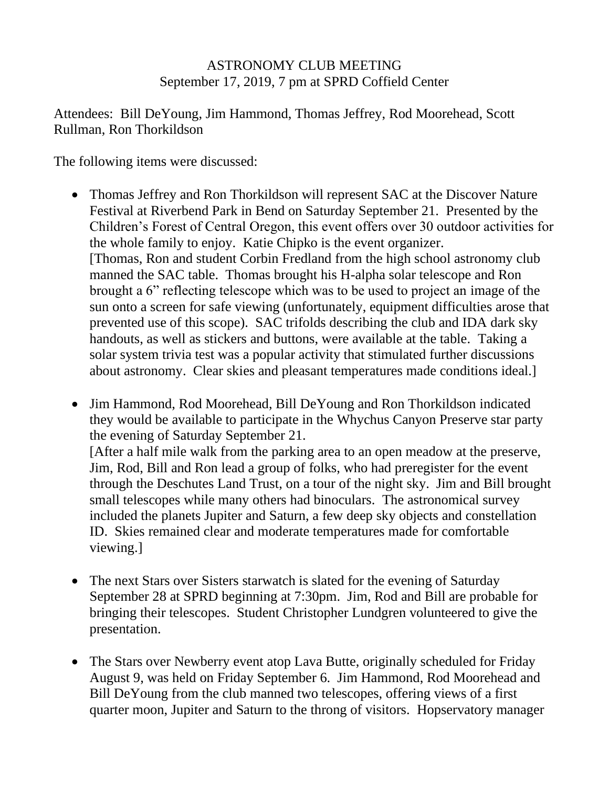## ASTRONOMY CLUB MEETING September 17, 2019, 7 pm at SPRD Coffield Center

Attendees: Bill DeYoung, Jim Hammond, Thomas Jeffrey, Rod Moorehead, Scott Rullman, Ron Thorkildson

The following items were discussed:

- Thomas Jeffrey and Ron Thorkildson will represent SAC at the Discover Nature Festival at Riverbend Park in Bend on Saturday September 21. Presented by the Children's Forest of Central Oregon, this event offers over 30 outdoor activities for the whole family to enjoy. Katie Chipko is the event organizer. [Thomas, Ron and student Corbin Fredland from the high school astronomy club manned the SAC table. Thomas brought his H-alpha solar telescope and Ron brought a 6" reflecting telescope which was to be used to project an image of the sun onto a screen for safe viewing (unfortunately, equipment difficulties arose that prevented use of this scope). SAC trifolds describing the club and IDA dark sky handouts, as well as stickers and buttons, were available at the table. Taking a solar system trivia test was a popular activity that stimulated further discussions about astronomy. Clear skies and pleasant temperatures made conditions ideal.]
- Jim Hammond, Rod Moorehead, Bill De Young and Ron Thorkildson indicated they would be available to participate in the Whychus Canyon Preserve star party the evening of Saturday September 21. [After a half mile walk from the parking area to an open meadow at the preserve, Jim, Rod, Bill and Ron lead a group of folks, who had preregister for the event through the Deschutes Land Trust, on a tour of the night sky. Jim and Bill brought small telescopes while many others had binoculars. The astronomical survey included the planets Jupiter and Saturn, a few deep sky objects and constellation ID. Skies remained clear and moderate temperatures made for comfortable viewing.]
- The next Stars over Sisters starwatch is slated for the evening of Saturday September 28 at SPRD beginning at 7:30pm. Jim, Rod and Bill are probable for bringing their telescopes. Student Christopher Lundgren volunteered to give the presentation.
- The Stars over Newberry event atop Lava Butte, originally scheduled for Friday August 9, was held on Friday September 6. Jim Hammond, Rod Moorehead and Bill DeYoung from the club manned two telescopes, offering views of a first quarter moon, Jupiter and Saturn to the throng of visitors. Hopservatory manager